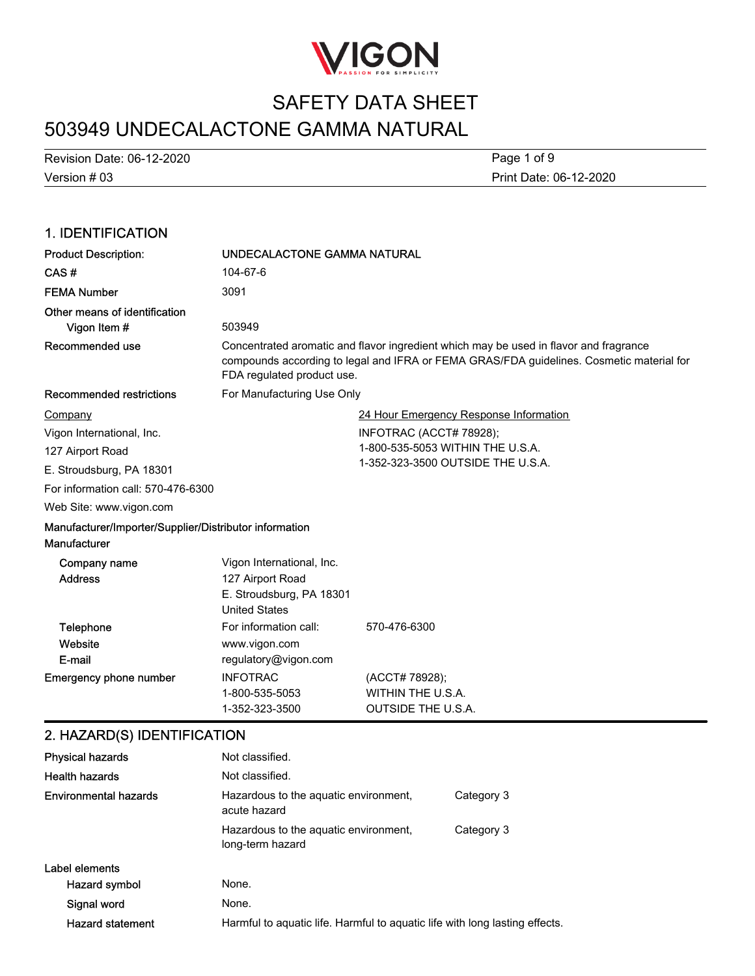

# 503949 UNDECALACTONE GAMMA NATURAL

Version # 03 Revision Date: 06-12-2020

Print Date: 06-12-2020 Page 1 of 9

#### 1. IDENTIFICATION Product Description: UNDECALACTONE GAMMA NATURAL CAS # 104-67-6 FEMA Number 3091 Other means of identification **Vigon Item #** 503949 Concentrated aromatic and flavor ingredient which may be used in flavor and fragrance compounds according to legal and IFRA or FEMA GRAS/FDA guidelines. Cosmetic material for FDA regulated product use. Recommended use Recommended restrictions For Manufacturing Use Only 24 Hour Emergency Response Information INFOTRAC (ACCT# 78928); 1-800-535-5053 WITHIN THE U.S.A. 1-352-323-3500 OUTSIDE THE U.S.A. Web Site: www.vigon.com For information call: 570-476-6300 Company Vigon International, Inc. 127 Airport Road E. Stroudsburg, PA 18301 Manufacturer/Importer/Supplier/Distributor information **Manufacturer** Vigon International, Inc. Address 127 Airport Road Company name Website Telephone For information call: 570-476-6300 Emergency phone number INFOTRAC (ACCT# 78928); 1-800-535-5053 WITHIN THE U.S.A. 1-352-323-3500 OUTSIDE THE U.S.A. E-mail United States www.vigon.com regulatory@vigon.com E. Stroudsburg, PA 18301 2. HAZARD(S) IDENTIFICATION Physical hazards Not classified. Health hazards Not classified. Hazardous to the aquatic environment, Category 3 Environmental hazards

|                         | Hazardous to the aquatic environment,<br>long-term hazard                   | Category 3 |
|-------------------------|-----------------------------------------------------------------------------|------------|
| Label elements          |                                                                             |            |
| Hazard symbol           | None.                                                                       |            |
| Signal word             | None.                                                                       |            |
| <b>Hazard statement</b> | Harmful to aquatic life. Harmful to aquatic life with long lasting effects. |            |

acute hazard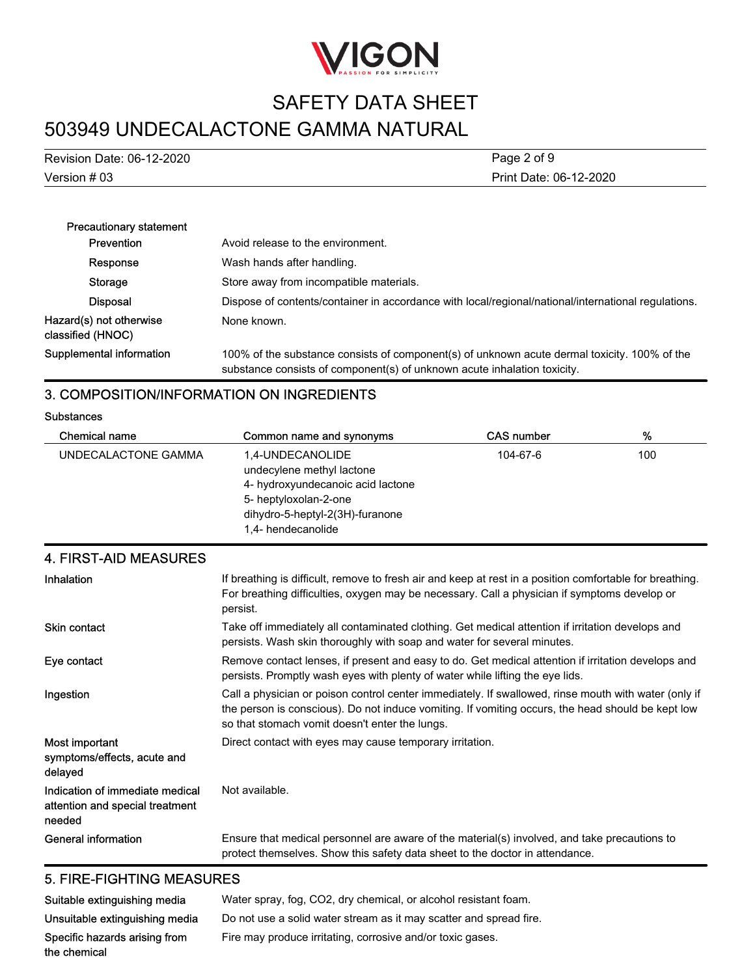

# 503949 UNDECALACTONE GAMMA NATURAL

| Version # 03              | Print Date: 06-12-2020 |
|---------------------------|------------------------|
| Revision Date: 06-12-2020 | Page 2 of 9            |
|                           |                        |

| <b>Precautionary statement</b>               |                                                                                                                                                                          |
|----------------------------------------------|--------------------------------------------------------------------------------------------------------------------------------------------------------------------------|
| Prevention                                   | Avoid release to the environment.                                                                                                                                        |
| Response                                     | Wash hands after handling.                                                                                                                                               |
| Storage                                      | Store away from incompatible materials.                                                                                                                                  |
| <b>Disposal</b>                              | Dispose of contents/container in accordance with local/regional/national/international regulations.                                                                      |
| Hazard(s) not otherwise<br>classified (HNOC) | None known.                                                                                                                                                              |
| Supplemental information                     | 100% of the substance consists of component(s) of unknown acute dermal toxicity. 100% of the<br>substance consists of component(s) of unknown acute inhalation toxicity. |

### 3. COMPOSITION/INFORMATION ON INGREDIENTS

#### **Substances**

| <b>Chemical name</b> | Common name and synonyms                                                                                                                                             | <b>CAS number</b> | %   |
|----------------------|----------------------------------------------------------------------------------------------------------------------------------------------------------------------|-------------------|-----|
| UNDECALACTONE GAMMA  | 1.4-UNDECANOLIDE<br>undecylene methyl lactone<br>4- hydroxyundecanoic acid lactone<br>5- heptyloxolan-2-one<br>dihydro-5-heptyl-2(3H)-furanone<br>1,4- hendecanolide | 104-67-6          | 100 |

# 4. FIRST-AID MEASURES

| Inhalation                                                                   | If breathing is difficult, remove to fresh air and keep at rest in a position comfortable for breathing.<br>For breathing difficulties, oxygen may be necessary. Call a physician if symptoms develop or<br>persist.                                        |
|------------------------------------------------------------------------------|-------------------------------------------------------------------------------------------------------------------------------------------------------------------------------------------------------------------------------------------------------------|
| <b>Skin contact</b>                                                          | Take off immediately all contaminated clothing. Get medical attention if irritation develops and<br>persists. Wash skin thoroughly with soap and water for several minutes.                                                                                 |
| Eye contact                                                                  | Remove contact lenses, if present and easy to do. Get medical attention if irritation develops and<br>persists. Promptly wash eyes with plenty of water while lifting the eye lids.                                                                         |
| Ingestion                                                                    | Call a physician or poison control center immediately. If swallowed, rinse mouth with water (only if<br>the person is conscious). Do not induce vomiting. If vomiting occurs, the head should be kept low<br>so that stomach vomit doesn't enter the lungs. |
| Most important<br>symptoms/effects, acute and<br>delayed                     | Direct contact with eyes may cause temporary irritation.                                                                                                                                                                                                    |
| Indication of immediate medical<br>attention and special treatment<br>needed | Not available.                                                                                                                                                                                                                                              |
| <b>General information</b>                                                   | Ensure that medical personnel are aware of the material(s) involved, and take precautions to<br>protect themselves. Show this safety data sheet to the doctor in attendance.                                                                                |

# 5. FIRE-FIGHTING MEASURES

| Suitable extinguishing media   | Water spray, fog. CO2, dry chemical, or alcohol resistant foam.    |
|--------------------------------|--------------------------------------------------------------------|
| Unsuitable extinguishing media | Do not use a solid water stream as it may scatter and spread fire. |
| Specific hazards arising from  | Fire may produce irritating, corrosive and/or toxic gases.         |
| the chemical                   |                                                                    |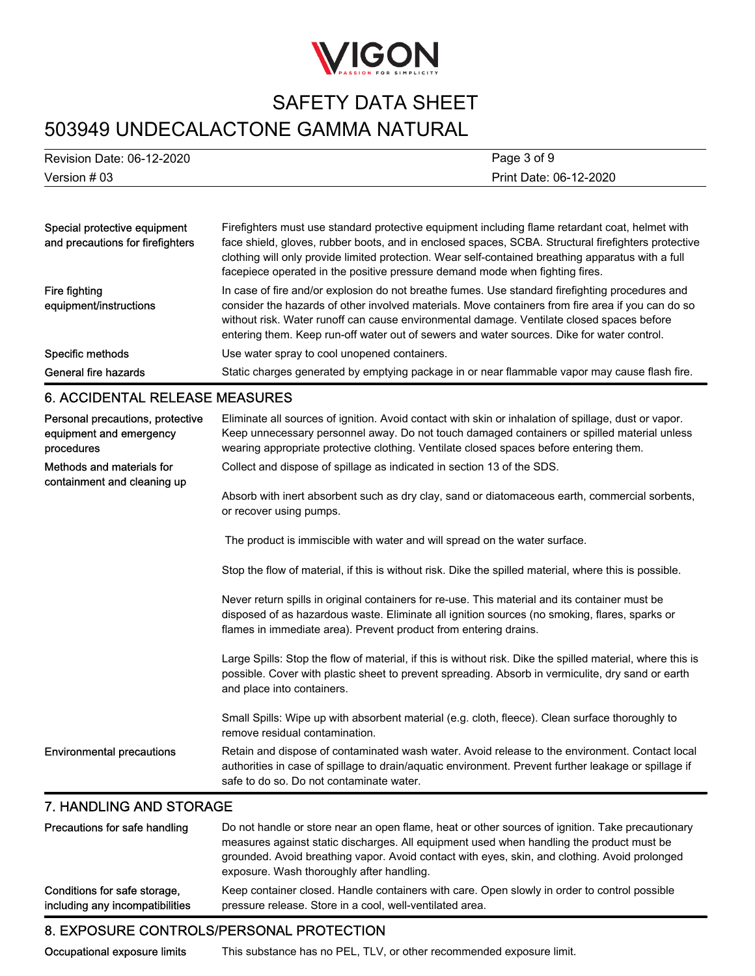

# 503949 UNDECALACTONE GAMMA NATURAL

| Revision Date: 06-12-2020 | Page 3 of 9            |
|---------------------------|------------------------|
| Version # 03              | Print Date: 06-12-2020 |

| Special protective equipment<br>and precautions for firefighters          | Firefighters must use standard protective equipment including flame retardant coat, helmet with<br>face shield, gloves, rubber boots, and in enclosed spaces, SCBA. Structural firefighters protective<br>clothing will only provide limited protection. Wear self-contained breathing apparatus with a full<br>facepiece operated in the positive pressure demand mode when fighting fires.    |
|---------------------------------------------------------------------------|-------------------------------------------------------------------------------------------------------------------------------------------------------------------------------------------------------------------------------------------------------------------------------------------------------------------------------------------------------------------------------------------------|
| Fire fighting<br>equipment/instructions                                   | In case of fire and/or explosion do not breathe fumes. Use standard firefighting procedures and<br>consider the hazards of other involved materials. Move containers from fire area if you can do so<br>without risk. Water runoff can cause environmental damage. Ventilate closed spaces before<br>entering them. Keep run-off water out of sewers and water sources. Dike for water control. |
| Specific methods                                                          | Use water spray to cool unopened containers.                                                                                                                                                                                                                                                                                                                                                    |
| General fire hazards                                                      | Static charges generated by emptying package in or near flammable vapor may cause flash fire.                                                                                                                                                                                                                                                                                                   |
| <b>6. ACCIDENTAL RELEASE MEASURES</b>                                     |                                                                                                                                                                                                                                                                                                                                                                                                 |
| Personal precautions, protective<br>equipment and emergency<br>procedures | Eliminate all sources of ignition. Avoid contact with skin or inhalation of spillage, dust or vapor.<br>Keep unnecessary personnel away. Do not touch damaged containers or spilled material unless<br>wearing appropriate protective clothing. Ventilate closed spaces before entering them.                                                                                                   |
| Methods and materials for                                                 | Collect and dispose of spillage as indicated in section 13 of the SDS.                                                                                                                                                                                                                                                                                                                          |

Absorb with inert absorbent such as dry clay, sand or diatomaceous earth, commercial sorbents, or recover using pumps.

The product is immiscible with water and will spread on the water surface.

Stop the flow of material, if this is without risk. Dike the spilled material, where this is possible.

Never return spills in original containers for re-use. This material and its container must be disposed of as hazardous waste. Eliminate all ignition sources (no smoking, flares, sparks or flames in immediate area). Prevent product from entering drains.

Large Spills: Stop the flow of material, if this is without risk. Dike the spilled material, where this is possible. Cover with plastic sheet to prevent spreading. Absorb in vermiculite, dry sand or earth and place into containers.

Small Spills: Wipe up with absorbent material (e.g. cloth, fleece). Clean surface thoroughly to remove residual contamination.

Retain and dispose of contaminated wash water. Avoid release to the environment. Contact local authorities in case of spillage to drain/aquatic environment. Prevent further leakage or spillage if safe to do so. Do not contaminate water. Environmental precautions

### 7. HANDLING AND STORAGE

containment and cleaning up

| Precautions for safe handling   | Do not handle or store near an open flame, heat or other sources of ignition. Take precautionary<br>measures against static discharges. All equipment used when handling the product must be<br>grounded. Avoid breathing vapor. Avoid contact with eyes, skin, and clothing. Avoid prolonged<br>exposure. Wash thoroughly after handling. |
|---------------------------------|--------------------------------------------------------------------------------------------------------------------------------------------------------------------------------------------------------------------------------------------------------------------------------------------------------------------------------------------|
| Conditions for safe storage,    | Keep container closed. Handle containers with care. Open slowly in order to control possible                                                                                                                                                                                                                                               |
| including any incompatibilities | pressure release. Store in a cool, well-ventilated area.                                                                                                                                                                                                                                                                                   |

# 8. EXPOSURE CONTROLS/PERSONAL PROTECTION

Occupational exposure limits This substance has no PEL, TLV, or other recommended exposure limit.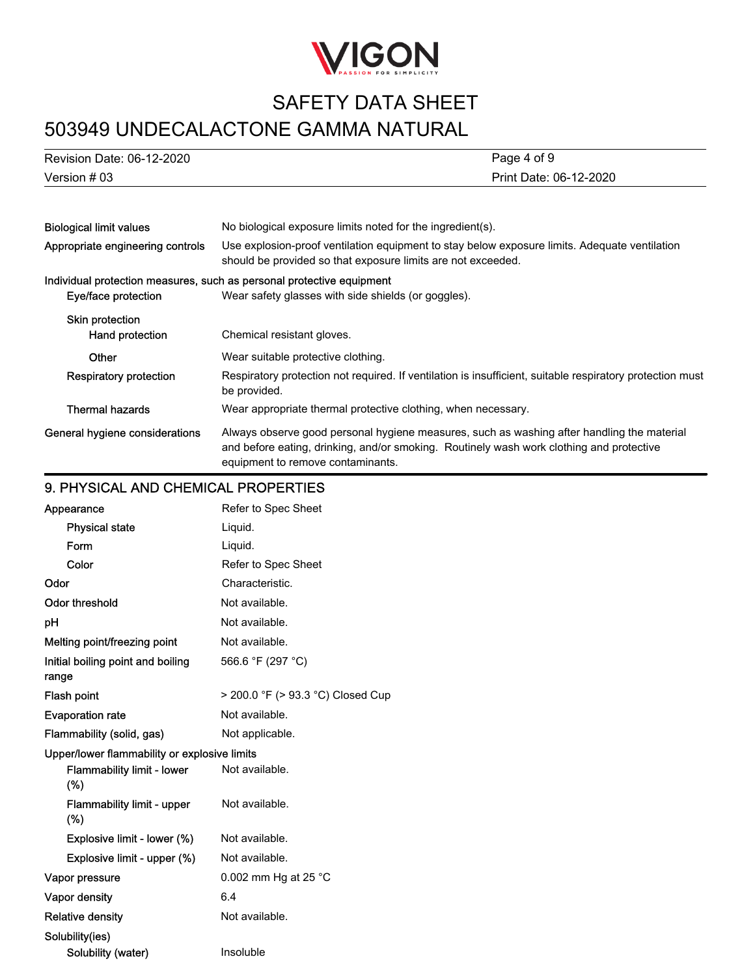

# 503949 UNDECALACTONE GAMMA NATURAL

| Revision Date: 06-12-2020 | Page 4 of 9            |
|---------------------------|------------------------|
| Version # 03              | Print Date: 06-12-2020 |

| <b>Biological limit values</b>   | No biological exposure limits noted for the ingredient(s).                                                                                                                                                                  |  |
|----------------------------------|-----------------------------------------------------------------------------------------------------------------------------------------------------------------------------------------------------------------------------|--|
| Appropriate engineering controls | Use explosion-proof ventilation equipment to stay below exposure limits. Adequate ventilation<br>should be provided so that exposure limits are not exceeded.                                                               |  |
|                                  | Individual protection measures, such as personal protective equipment                                                                                                                                                       |  |
| Eye/face protection              | Wear safety glasses with side shields (or goggles).                                                                                                                                                                         |  |
| Skin protection                  |                                                                                                                                                                                                                             |  |
| Hand protection                  | Chemical resistant gloves.                                                                                                                                                                                                  |  |
| Other                            | Wear suitable protective clothing.                                                                                                                                                                                          |  |
| Respiratory protection           | Respiratory protection not required. If ventilation is insufficient, suitable respiratory protection must<br>be provided.                                                                                                   |  |
| <b>Thermal hazards</b>           | Wear appropriate thermal protective clothing, when necessary.                                                                                                                                                               |  |
| General hygiene considerations   | Always observe good personal hygiene measures, such as washing after handling the material<br>and before eating, drinking, and/or smoking. Routinely wash work clothing and protective<br>equipment to remove contaminants. |  |

# 9. PHYSICAL AND CHEMICAL PROPERTIES

| Appearance                                   | Refer to Spec Sheet               |
|----------------------------------------------|-----------------------------------|
| <b>Physical state</b>                        | Liquid.                           |
| Form                                         | Liquid.                           |
| Color                                        | Refer to Spec Sheet               |
| Odor                                         | Characteristic.                   |
| <b>Odor threshold</b>                        | Not available.                    |
| рH                                           | Not available.                    |
| Melting point/freezing point                 | Not available.                    |
| Initial boiling point and boiling<br>range   | 566.6 °F (297 °C)                 |
| Flash point                                  | > 200.0 °F (> 93.3 °C) Closed Cup |
| <b>Evaporation rate</b>                      | Not available.                    |
| Flammability (solid, gas)                    | Not applicable.                   |
| Upper/lower flammability or explosive limits |                                   |
| <b>Flammability limit - lower</b><br>(%)     | Not available.                    |
| <b>Flammability limit - upper</b><br>$(\%)$  | Not available.                    |
| Explosive limit - lower (%)                  | Not available.                    |
| Explosive limit - upper (%)                  | Not available.                    |
| Vapor pressure                               | 0.002 mm Hg at 25 $^{\circ}$ C    |
| <b>Vapor density</b>                         | 6.4                               |
| <b>Relative density</b>                      | Not available.                    |
| Solubility(ies)                              |                                   |
| Solubility (water)                           | Insoluble                         |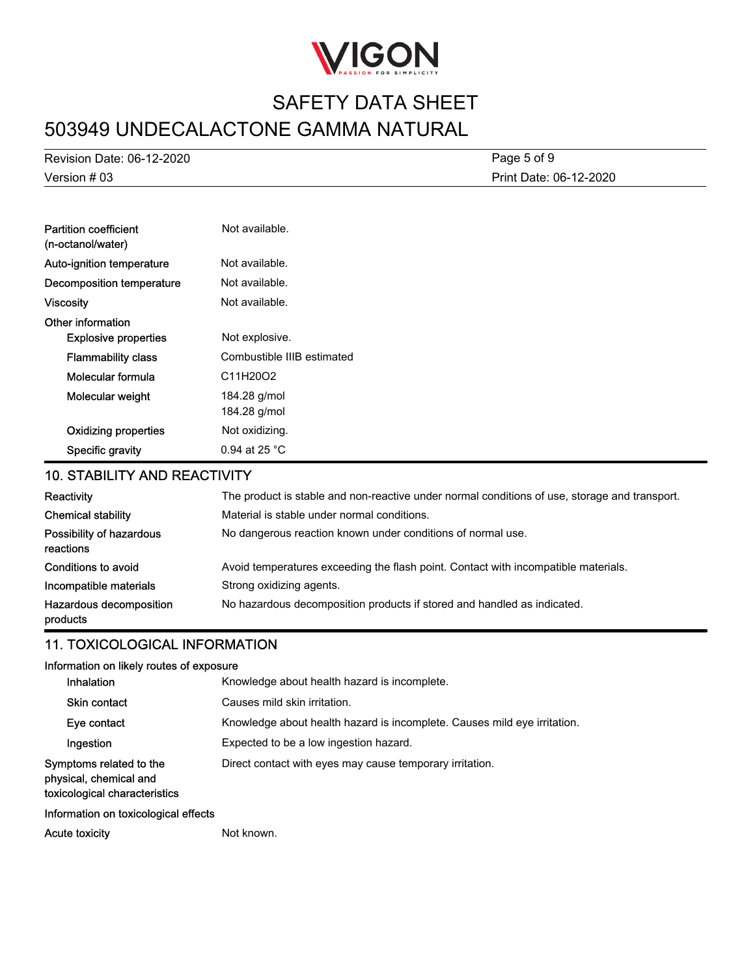

# 503949 UNDECALACTONE GAMMA NATURAL SAFETY DATA SHEET

Version # 03 Revision Date: 06-12-2020 Print Date: 06-12-2020 Page 5 of 9

| <b>Partition coefficient</b><br>(n-octanol/water) | Not available.               |
|---------------------------------------------------|------------------------------|
| Auto-ignition temperature                         | Not available.               |
| Decomposition temperature                         | Not available.               |
| <b>Viscosity</b>                                  | Not available.               |
| Other information<br><b>Explosive properties</b>  | Not explosive.               |
| <b>Flammability class</b>                         | Combustible IIIB estimated   |
| Molecular formula                                 | C11H20O2                     |
| Molecular weight                                  | 184.28 g/mol<br>184.28 g/mol |
| <b>Oxidizing properties</b>                       | Not oxidizing.               |
| Specific gravity                                  | 0.94 at 25 $^{\circ}$ C      |

# 10. STABILITY AND REACTIVITY

| Reactivity                            | The product is stable and non-reactive under normal conditions of use, storage and transport. |
|---------------------------------------|-----------------------------------------------------------------------------------------------|
| <b>Chemical stability</b>             | Material is stable under normal conditions.                                                   |
| Possibility of hazardous<br>reactions | No dangerous reaction known under conditions of normal use.                                   |
| Conditions to avoid                   | Avoid temperatures exceeding the flash point. Contact with incompatible materials.            |
| Incompatible materials                | Strong oxidizing agents.                                                                      |
| Hazardous decomposition<br>products   | No hazardous decomposition products if stored and handled as indicated.                       |

### 11. TOXICOLOGICAL INFORMATION

### Information on likely routes of exposure

| <b>Inhalation</b>                                                                  | Knowledge about health hazard is incomplete.                             |  |  |  |
|------------------------------------------------------------------------------------|--------------------------------------------------------------------------|--|--|--|
| <b>Skin contact</b>                                                                | Causes mild skin irritation.                                             |  |  |  |
| Eye contact                                                                        | Knowledge about health hazard is incomplete. Causes mild eye irritation. |  |  |  |
| Ingestion                                                                          | Expected to be a low ingestion hazard.                                   |  |  |  |
| Symptoms related to the<br>physical, chemical and<br>toxicological characteristics | Direct contact with eyes may cause temporary irritation.                 |  |  |  |
| Information on toxicological effects                                               |                                                                          |  |  |  |

Acute toxicity **Not known.**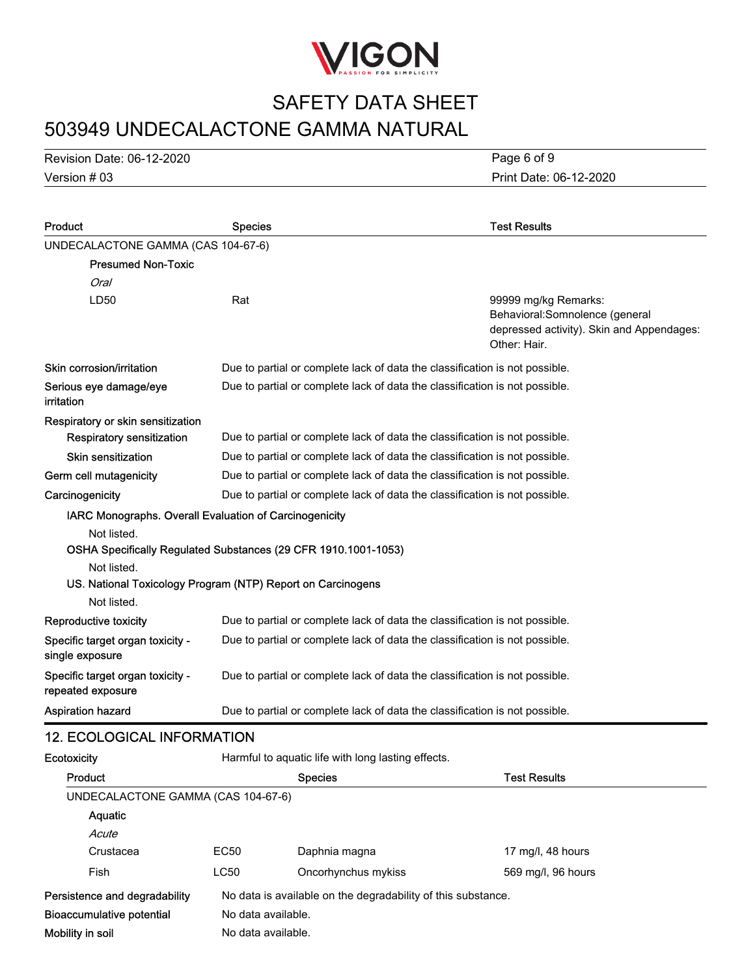

# 503949 UNDECALACTONE GAMMA NATURAL SAFETY DATA SHEET

Version # 03 Revision Date: 06-12-2020 Print Date: 06-12-2020 Page 6 of 9

| Product                                                                                                                                                                                                               | <b>Species</b>                                                              |                                                                             | <b>Test Results</b>                                                                                                  |
|-----------------------------------------------------------------------------------------------------------------------------------------------------------------------------------------------------------------------|-----------------------------------------------------------------------------|-----------------------------------------------------------------------------|----------------------------------------------------------------------------------------------------------------------|
| UNDECALACTONE GAMMA (CAS 104-67-6)                                                                                                                                                                                    |                                                                             |                                                                             |                                                                                                                      |
| <b>Presumed Non-Toxic</b>                                                                                                                                                                                             |                                                                             |                                                                             |                                                                                                                      |
| Oral                                                                                                                                                                                                                  |                                                                             |                                                                             |                                                                                                                      |
| LD50                                                                                                                                                                                                                  | Rat                                                                         |                                                                             | 99999 mg/kg Remarks:<br>Behavioral: Somnolence (general<br>depressed activity). Skin and Appendages:<br>Other: Hair. |
| Skin corrosion/irritation                                                                                                                                                                                             |                                                                             | Due to partial or complete lack of data the classification is not possible. |                                                                                                                      |
| Serious eye damage/eye<br>irritation                                                                                                                                                                                  |                                                                             | Due to partial or complete lack of data the classification is not possible. |                                                                                                                      |
| Respiratory or skin sensitization                                                                                                                                                                                     |                                                                             |                                                                             |                                                                                                                      |
| <b>Respiratory sensitization</b>                                                                                                                                                                                      |                                                                             | Due to partial or complete lack of data the classification is not possible. |                                                                                                                      |
| Skin sensitization                                                                                                                                                                                                    |                                                                             | Due to partial or complete lack of data the classification is not possible. |                                                                                                                      |
| Germ cell mutagenicity                                                                                                                                                                                                |                                                                             | Due to partial or complete lack of data the classification is not possible. |                                                                                                                      |
| Carcinogenicity                                                                                                                                                                                                       |                                                                             | Due to partial or complete lack of data the classification is not possible. |                                                                                                                      |
| IARC Monographs. Overall Evaluation of Carcinogenicity<br>Not listed.<br>OSHA Specifically Regulated Substances (29 CFR 1910.1001-1053)<br>Not listed.<br>US. National Toxicology Program (NTP) Report on Carcinogens |                                                                             |                                                                             |                                                                                                                      |
| Not listed.                                                                                                                                                                                                           |                                                                             |                                                                             |                                                                                                                      |
| Reproductive toxicity                                                                                                                                                                                                 |                                                                             | Due to partial or complete lack of data the classification is not possible. |                                                                                                                      |
| Specific target organ toxicity -<br>single exposure                                                                                                                                                                   | Due to partial or complete lack of data the classification is not possible. |                                                                             |                                                                                                                      |
| Specific target organ toxicity -<br>repeated exposure                                                                                                                                                                 | Due to partial or complete lack of data the classification is not possible. |                                                                             |                                                                                                                      |
| <b>Aspiration hazard</b>                                                                                                                                                                                              |                                                                             | Due to partial or complete lack of data the classification is not possible. |                                                                                                                      |
| <b>12. ECOLOGICAL INFORMATION</b>                                                                                                                                                                                     |                                                                             |                                                                             |                                                                                                                      |
| Ecotoxicity                                                                                                                                                                                                           |                                                                             | Harmful to aquatic life with long lasting effects.                          |                                                                                                                      |
| Product                                                                                                                                                                                                               |                                                                             | <b>Species</b>                                                              | <b>Test Results</b>                                                                                                  |
| UNDECALACTONE GAMMA (CAS 104-67-6)                                                                                                                                                                                    |                                                                             |                                                                             |                                                                                                                      |
| Aquatic                                                                                                                                                                                                               |                                                                             |                                                                             |                                                                                                                      |
| Acute                                                                                                                                                                                                                 |                                                                             |                                                                             |                                                                                                                      |
| Crustacea                                                                                                                                                                                                             | <b>EC50</b>                                                                 | Daphnia magna                                                               | 17 mg/l, 48 hours                                                                                                    |
| Fish                                                                                                                                                                                                                  | <b>LC50</b>                                                                 | Oncorhynchus mykiss                                                         | 569 mg/l, 96 hours                                                                                                   |
| Persistence and degradability                                                                                                                                                                                         |                                                                             | No data is available on the degradability of this substance.                |                                                                                                                      |
| <b>Bioaccumulative potential</b>                                                                                                                                                                                      | No data available.                                                          |                                                                             |                                                                                                                      |
| Mobility in soil                                                                                                                                                                                                      | No data available.                                                          |                                                                             |                                                                                                                      |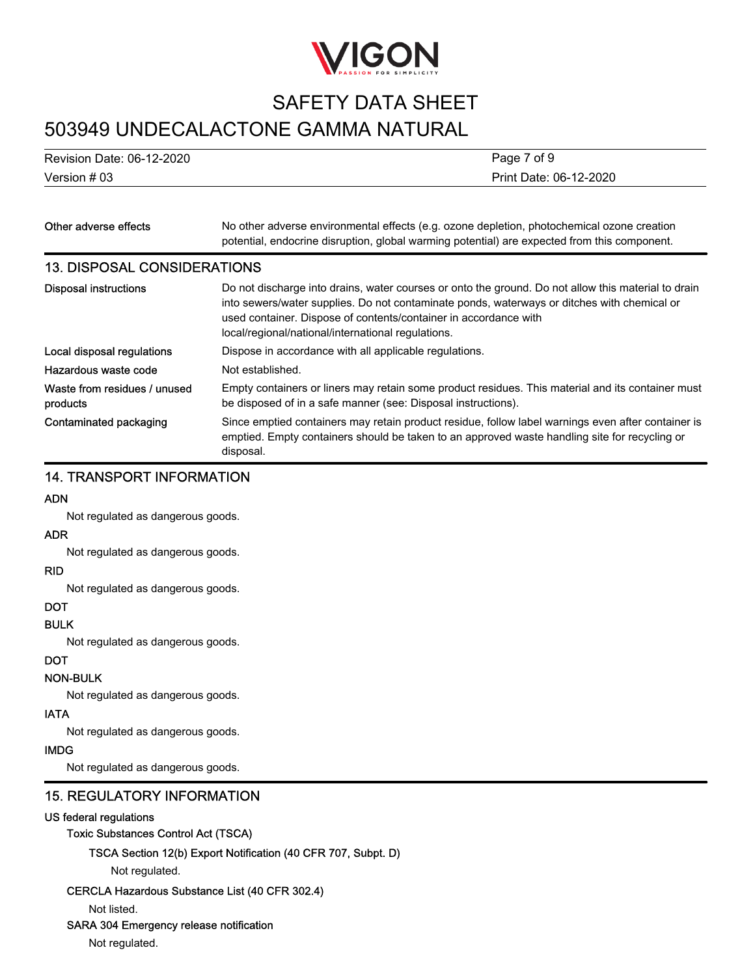

# 503949 UNDECALACTONE GAMMA NATURAL

Version # 03 Revision Date: 06-12-2020 Print Date: 06-12-2020 Page 7 of 9

| Other adverse effects                    | No other adverse environmental effects (e.g. ozone depletion, photochemical ozone creation<br>potential, endocrine disruption, global warming potential) are expected from this component.                                                                                                                                   |  |
|------------------------------------------|------------------------------------------------------------------------------------------------------------------------------------------------------------------------------------------------------------------------------------------------------------------------------------------------------------------------------|--|
| <b>13. DISPOSAL CONSIDERATIONS</b>       |                                                                                                                                                                                                                                                                                                                              |  |
| <b>Disposal instructions</b>             | Do not discharge into drains, water courses or onto the ground. Do not allow this material to drain<br>into sewers/water supplies. Do not contaminate ponds, waterways or ditches with chemical or<br>used container. Dispose of contents/container in accordance with<br>local/regional/national/international regulations. |  |
| Local disposal regulations               | Dispose in accordance with all applicable regulations.                                                                                                                                                                                                                                                                       |  |
| Hazardous waste code                     | Not established.                                                                                                                                                                                                                                                                                                             |  |
| Waste from residues / unused<br>products | Empty containers or liners may retain some product residues. This material and its container must<br>be disposed of in a safe manner (see: Disposal instructions).                                                                                                                                                           |  |
| Contaminated packaging                   | Since emptied containers may retain product residue, follow label warnings even after container is<br>emptied. Empty containers should be taken to an approved waste handling site for recycling or<br>disposal.                                                                                                             |  |

# 14. TRANSPORT INFORMATION

#### ADN

Not regulated as dangerous goods.

### ADR

Not regulated as dangerous goods.

#### RID

Not regulated as dangerous goods.

### DOT

### BULK

Not regulated as dangerous goods.

### **DOT**

### NON-BULK

Not regulated as dangerous goods.

### IATA

Not regulated as dangerous goods.

### IMDG

Not regulated as dangerous goods.

### 15. REGULATORY INFORMATION

### US federal regulations

### Toxic Substances Control Act (TSCA)

TSCA Section 12(b) Export Notification (40 CFR 707, Subpt. D)

Not regulated.

#### CERCLA Hazardous Substance List (40 CFR 302.4)

Not listed.

### SARA 304 Emergency release notification

Not regulated.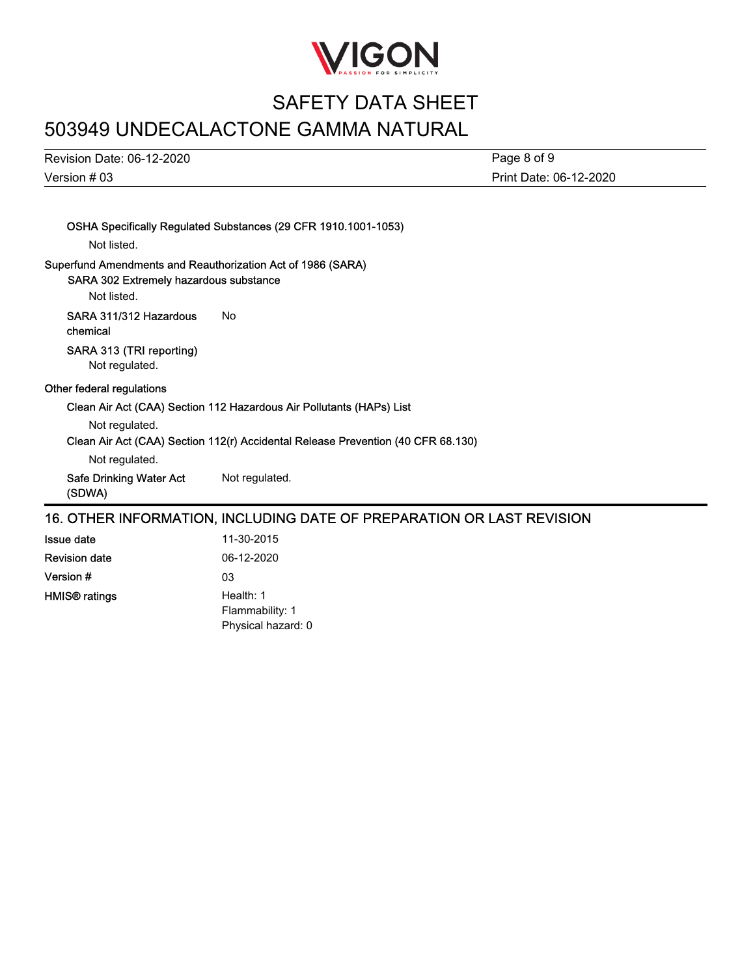

# 503949 UNDECALACTONE GAMMA NATURAL

Version # 03 Revision Date: 06-12-2020 Print Date: 06-12-2020 Page 8 of 9

| Not listed.                                                                                                          | OSHA Specifically Regulated Substances (29 CFR 1910.1001-1053)                   |
|----------------------------------------------------------------------------------------------------------------------|----------------------------------------------------------------------------------|
| Superfund Amendments and Reauthorization Act of 1986 (SARA)<br>SARA 302 Extremely hazardous substance<br>Not listed. |                                                                                  |
| SARA 311/312 Hazardous<br>chemical                                                                                   | Nο                                                                               |
| SARA 313 (TRI reporting)<br>Not regulated.                                                                           |                                                                                  |
| Other federal regulations                                                                                            |                                                                                  |
|                                                                                                                      | Clean Air Act (CAA) Section 112 Hazardous Air Pollutants (HAPs) List             |
| Not regulated.                                                                                                       |                                                                                  |
|                                                                                                                      | Clean Air Act (CAA) Section 112(r) Accidental Release Prevention (40 CFR 68.130) |
| Not regulated.                                                                                                       |                                                                                  |
| Safe Drinking Water Act<br>(SDWA)                                                                                    | Not regulated.                                                                   |
| 16. OTHER INFORMATION, INCLUDING DATE OF PREPARATION OR LAST REVISION                                                |                                                                                  |
| <b>Issue date</b>                                                                                                    | 11-30-2015                                                                       |
|                                                                                                                      |                                                                                  |

Revision date 06-12-2020 Version # 03 Health: 1 Flammability: 1 Physical hazard: 0 HMIS® ratings